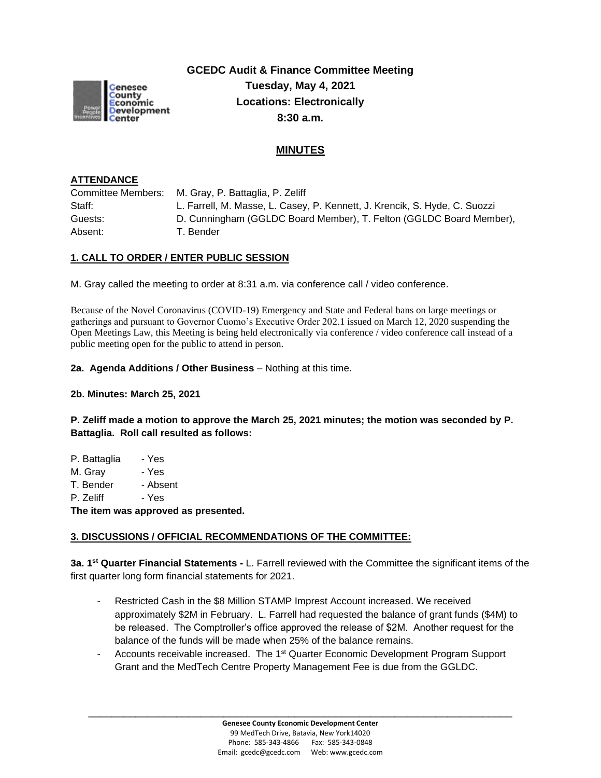

**GCEDC Audit & Finance Committee Meeting Tuesday, May 4, 2021 Locations: Electronically 8:30 a.m.**

# **MINUTES**

#### **ATTENDANCE**

Committee Members: M. Gray, P. Battaglia, P. Zeliff Staff: L. Farrell, M. Masse, L. Casey, P. Kennett, J. Krencik, S. Hyde, C. Suozzi Guests: D. Cunningham (GGLDC Board Member), T. Felton (GGLDC Board Member), Absent: T. Bender

#### **1. CALL TO ORDER / ENTER PUBLIC SESSION**

M. Gray called the meeting to order at 8:31 a.m. via conference call / video conference.

Because of the Novel Coronavirus (COVID-19) Emergency and State and Federal bans on large meetings or gatherings and pursuant to Governor Cuomo's Executive Order 202.1 issued on March 12, 2020 suspending the Open Meetings Law, this Meeting is being held electronically via conference / video conference call instead of a public meeting open for the public to attend in person.

#### **2a. Agenda Additions / Other Business** – Nothing at this time.

**2b. Minutes: March 25, 2021** 

**P. Zeliff made a motion to approve the March 25, 2021 minutes; the motion was seconded by P. Battaglia. Roll call resulted as follows:**

| The item was approved as presented. |          |  |
|-------------------------------------|----------|--|
| P. Zeliff                           | - Yes    |  |
| T. Bender                           | - Absent |  |
| M. Gray                             | - Yes    |  |
| P. Battaglia                        | - Yes    |  |
|                                     |          |  |

#### **3. DISCUSSIONS / OFFICIAL RECOMMENDATIONS OF THE COMMITTEE:**

**3a. 1 st Quarter Financial Statements -** L. Farrell reviewed with the Committee the significant items of the first quarter long form financial statements for 2021.

- Restricted Cash in the \$8 Million STAMP Imprest Account increased. We received approximately \$2M in February. L. Farrell had requested the balance of grant funds (\$4M) to be released. The Comptroller's office approved the release of \$2M. Another request for the balance of the funds will be made when 25% of the balance remains.
- Accounts receivable increased. The 1<sup>st</sup> Quarter Economic Development Program Support Grant and the MedTech Centre Property Management Fee is due from the GGLDC.

**\_\_\_\_\_\_\_\_\_\_\_\_\_\_\_\_\_\_\_\_\_\_\_\_\_\_\_\_\_\_\_\_\_\_\_\_\_\_\_\_\_\_\_\_\_\_\_\_\_\_\_\_\_\_\_\_\_\_\_\_\_\_\_\_\_\_\_\_\_\_\_\_**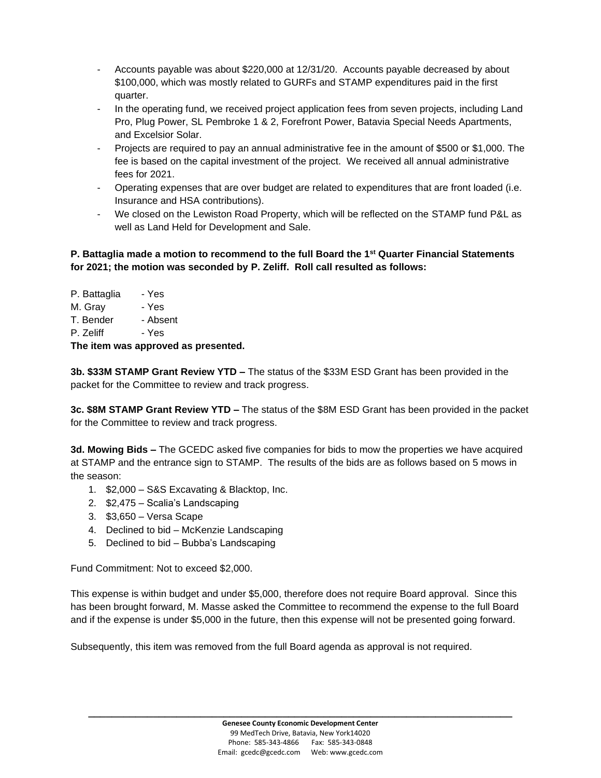- Accounts payable was about \$220,000 at 12/31/20. Accounts payable decreased by about \$100,000, which was mostly related to GURFs and STAMP expenditures paid in the first quarter.
- In the operating fund, we received project application fees from seven projects, including Land Pro, Plug Power, SL Pembroke 1 & 2, Forefront Power, Batavia Special Needs Apartments, and Excelsior Solar.
- Projects are required to pay an annual administrative fee in the amount of \$500 or \$1,000. The fee is based on the capital investment of the project. We received all annual administrative fees for 2021.
- Operating expenses that are over budget are related to expenditures that are front loaded (i.e. Insurance and HSA contributions).
- We closed on the Lewiston Road Property, which will be reflected on the STAMP fund P&L as well as Land Held for Development and Sale.

### **P. Battaglia made a motion to recommend to the full Board the 1st Quarter Financial Statements for 2021; the motion was seconded by P. Zeliff. Roll call resulted as follows:**

| The item was approved as presented. |          |  |
|-------------------------------------|----------|--|
| P. Zeliff                           | - Yes    |  |
| T. Bender                           | - Absent |  |
| M. Gray                             | - Yes    |  |
| P. Battaglia                        | - Yes    |  |
|                                     |          |  |

**3b. \$33M STAMP Grant Review YTD –** The status of the \$33M ESD Grant has been provided in the packet for the Committee to review and track progress.

**3c. \$8M STAMP Grant Review YTD –** The status of the \$8M ESD Grant has been provided in the packet for the Committee to review and track progress.

**3d. Mowing Bids –** The GCEDC asked five companies for bids to mow the properties we have acquired at STAMP and the entrance sign to STAMP. The results of the bids are as follows based on 5 mows in the season:

- 1. \$2,000 S&S Excavating & Blacktop, Inc.
- 2. \$2,475 Scalia's Landscaping
- 3. \$3,650 Versa Scape
- 4. Declined to bid McKenzie Landscaping
- 5. Declined to bid Bubba's Landscaping

Fund Commitment: Not to exceed \$2,000.

This expense is within budget and under \$5,000, therefore does not require Board approval. Since this has been brought forward, M. Masse asked the Committee to recommend the expense to the full Board and if the expense is under \$5,000 in the future, then this expense will not be presented going forward.

Subsequently, this item was removed from the full Board agenda as approval is not required.

**\_\_\_\_\_\_\_\_\_\_\_\_\_\_\_\_\_\_\_\_\_\_\_\_\_\_\_\_\_\_\_\_\_\_\_\_\_\_\_\_\_\_\_\_\_\_\_\_\_\_\_\_\_\_\_\_\_\_\_\_\_\_\_\_\_\_\_\_\_\_\_\_**